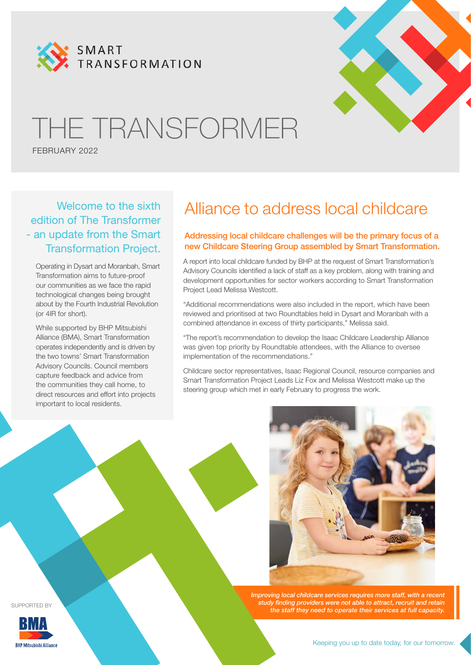



# THE TRANSFORMER

FEBRUARY 2022

Welcome to the sixth edition of The Transformer - an update from the Smart Transformation Project.

Operating in Dysart and Moranbah, Smart Transformation aims to future-proof our communities as we face the rapid technological changes being brought about by the Fourth Industrial Revolution (or 4IR for short).

While supported by BHP Mitsubishi Alliance (BMA), Smart Transformation operates independently and is driven by the two towns' Smart Transformation Advisory Councils. Council members capture feedback and advice from the communities they call home, to direct resources and effort into projects important to local residents.

### Alliance to address local childcare

#### Addressing local childcare challenges will be the primary focus of a new Childcare Steering Group assembled by Smart Transformation.

A report into local childcare funded by BHP at the request of Smart Transformation's Advisory Councils identified a lack of staff as a key problem, along with training and development opportunities for sector workers according to Smart Transformation Project Lead Melissa Westcott.

"Additional recommendations were also included in the report, which have been reviewed and prioritised at two Roundtables held in Dysart and Moranbah with a combined attendance in excess of thirty participants," Melissa said.

"The report's recommendation to develop the Isaac Childcare Leadership Alliance was given top priority by Roundtable attendees, with the Alliance to oversee implementation of the recommendations."

Childcare sector representatives, Isaac Regional Council, resource companies and Smart Transformation Project Leads Liz Fox and Melissa Westcott make up the steering group which met in early February to progress the work.



*Improving local childcare services requires more staff, with a recent study finding providers were not able to attract, recruit and retain the staff they need to operate their services at full capacity.*

SUPPORTED BY

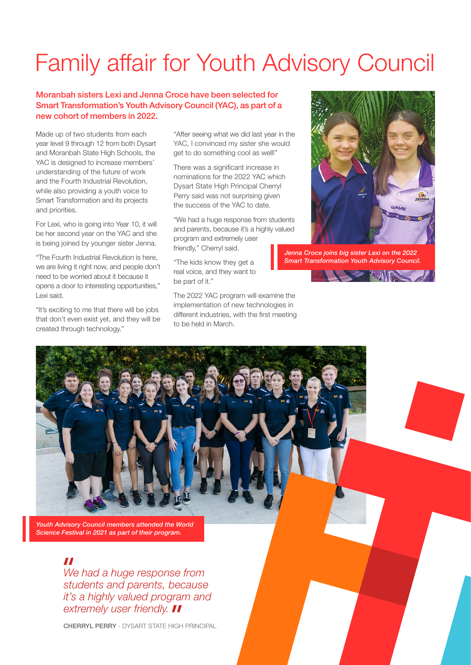## Family affair for Youth Advisory Council

#### Moranbah sisters Lexi and Jenna Croce have been selected for Smart Transformation's Youth Advisory Council (YAC), as part of a new cohort of members in 2022.

Made up of two students from each year level 9 through 12 from both Dysart and Moranbah State High Schools, the YAC is designed to increase members' understanding of the future of work and the Fourth Industrial Revolution, while also providing a youth voice to Smart Transformation and its projects and priorities.

For Lexi, who is going into Year 10, it will be her second year on the YAC and she is being joined by younger sister Jenna.

"The Fourth Industrial Revolution is here, we are living it right now, and people don't need to be worried about it because it opens a door to interesting opportunities," Lexi said.

"It's exciting to me that there will be jobs that don't even exist yet, and they will be created through technology."

"After seeing what we did last year in the YAC, I convinced my sister she would get to do something cool as well!"

There was a significant increase in nominations for the 2022 YAC which Dysart State High Principal Cherryl Perry said was not surprising given the success of the YAC to date.

"We had a huge response from students and parents, because it's a highly valued program and extremely user friendly," Cherryl said.

"The kids know they get a real voice, and they want to be part of it."

The 2022 YAC program will examine the implementation of new technologies in different industries, with the first meeting to be held in March.



*Jenna Croce joins big sister Lexi on the 2022 Smart Transformation Youth Advisory Council.*



*Youth Advisory Council members attended the World Science Festival in 2021 as part of their program.* 

#### $\boldsymbol{\mathit{II}}$

*We had a huge response from students and parents, because it's a highly valued program and extremely user friendly.*

CHERRYL PERRY - DYSART STATE HIGH PRINCIPAL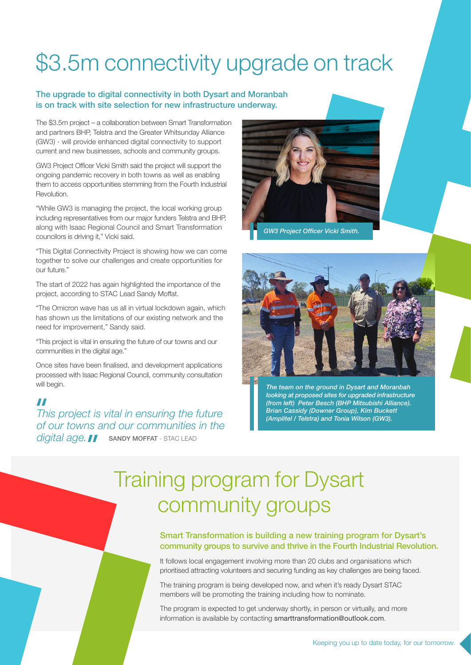## \$3.5m connectivity upgrade on track

#### The upgrade to digital connectivity in both Dysart and Moranbah is on track with site selection for new infrastructure underway.

The \$3.5m project – a collaboration between Smart Transformation and partners BHP, Telstra and the Greater Whitsunday Alliance (GW3) - will provide enhanced digital connectivity to support current and new businesses, schools and community groups.

GW3 Project Officer Vicki Smith said the project will support the ongoing pandemic recovery in both towns as well as enabling them to access opportunities stemming from the Fourth Industrial Revolution.

"While GW3 is managing the project, the local working group including representatives from our major funders Telstra and BHP, along with Isaac Regional Council and Smart Transformation councilors is driving it," Vicki said.

"This Digital Connectivity Project is showing how we can come together to solve our challenges and create opportunities for our future."

The start of 2022 has again highlighted the importance of the project, according to STAC Lead Sandy Moffat.

"The Omicron wave has us all in virtual lockdown again, which has shown us the limitations of our existing network and the need for improvement," Sandy said.

"This project is vital in ensuring the future of our towns and our communities in the digital age."

Once sites have been finalised, and development applications processed with Isaac Regional Council, community consultation will begin.

#### $\boldsymbol{\mathcal{H}}$

*(Amplitel / Telstra) and Tonia Wilson (GW3). This project is vital in ensuring the future of our towns and our communities in the digital age.* **I** sandy MOFFAT - STAC LEAD



*GW3 Project Officer Vicki Smith.*



*The team on the ground in Dysart and Moranbah looking at proposed sites for upgraded infrastructure (from left) Peter Besch (BHP Mitsubishi Alliance). Brian Cassidy (Downer Group), Kim Buckett* 

## Training program for Dysart community groups

#### Smart Transformation is building a new training program for Dysart's community groups to survive and thrive in the Fourth Industrial Revolution.

It follows local engagement involving more than 20 clubs and organisations which prioritised attracting volunteers and securing funding as key challenges are being faced.

The training program is being developed now, and when it's ready Dysart STAC members will be promoting the training including how to nominate.

The program is expected to get underway shortly, in person or virtually, and more information is available by contacting smarttransformation@outlook.com.